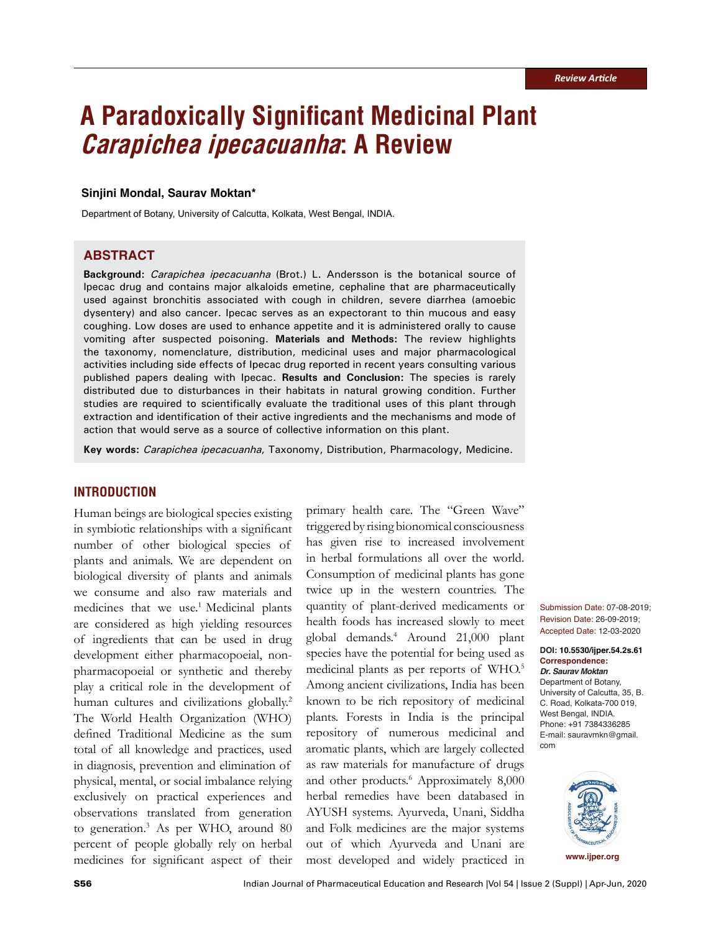# **A Paradoxically Significant Medicinal Plant Carapichea ipecacuanha: A Review**

#### **Sinjini Mondal, Saurav Moktan\***

Department of Botany, University of Calcutta, Kolkata, West Bengal, INDIA.

#### **ABSTRACT**

**Background:** Carapichea ipecacuanha (Brot.) L. Andersson is the botanical source of Ipecac drug and contains major alkaloids emetine, cephaline that are pharmaceutically used against bronchitis associated with cough in children, severe diarrhea (amoebic dysentery) and also cancer. Ipecac serves as an expectorant to thin mucous and easy coughing. Low doses are used to enhance appetite and it is administered orally to cause vomiting after suspected poisoning. **Materials and Methods:** The review highlights the taxonomy, nomenclature, distribution, medicinal uses and major pharmacological activities including side effects of Ipecac drug reported in recent years consulting various published papers dealing with Ipecac. **Results and Conclusion:** The species is rarely distributed due to disturbances in their habitats in natural growing condition. Further studies are required to scientifically evaluate the traditional uses of this plant through extraction and identification of their active ingredients and the mechanisms and mode of action that would serve as a source of collective information on this plant.

**Key words:** Carapichea ipecacuanha, Taxonomy, Distribution, Pharmacology, Medicine.

## **INTRODUCTION**

Human beings are biological species existing in symbiotic relationships with a significant number of other biological species of plants and animals. We are dependent on biological diversity of plants and animals we consume and also raw materials and medicines that we use.<sup>1</sup> Medicinal plants are considered as high yielding resources of ingredients that can be used in drug development either pharmacopoeial, nonpharmacopoeial or synthetic and thereby play a critical role in the development of human cultures and civilizations globally.<sup>2</sup> The World Health Organization (WHO) defined Traditional Medicine as the sum total of all knowledge and practices, used in diagnosis, prevention and elimination of physical, mental, or social imbalance relying exclusively on practical experiences and observations translated from generation to generation.<sup>3</sup> As per WHO, around 80 percent of people globally rely on herbal medicines for significant aspect of their

primary health care. The "Green Wave" triggered by rising bionomical consciousness has given rise to increased involvement in herbal formulations all over the world. Consumption of medicinal plants has gone twice up in the western countries. The quantity of plant-derived medicaments or health foods has increased slowly to meet global demands.<sup>4</sup> Around 21,000 plant species have the potential for being used as medicinal plants as per reports of WHO.<sup>5</sup> Among ancient civilizations, India has been known to be rich repository of medicinal plants. Forests in India is the principal repository of numerous medicinal and aromatic plants, which are largely collected as raw materials for manufacture of drugs and other products.<sup>6</sup> Approximately 8,000 herbal remedies have been databased in AYUSH systems. Ayurveda, Unani, Siddha and Folk medicines are the major systems out of which Ayurveda and Unani are most developed and widely practiced in

Submission Date: 07-08-2019; Revision Date: 26-09-2019; Accepted Date: 12-03-2020

**DOI: 10.5530/ijper.54.2s.61 Correspondence: Dr. Saurav Moktan**

Department of Botany, University of Calcutta, 35, B. C. Road, Kolkata-700 019, West Bengal, INDIA. Phone: +91 7384336285 E-mail: sauravmkn@gmail. com

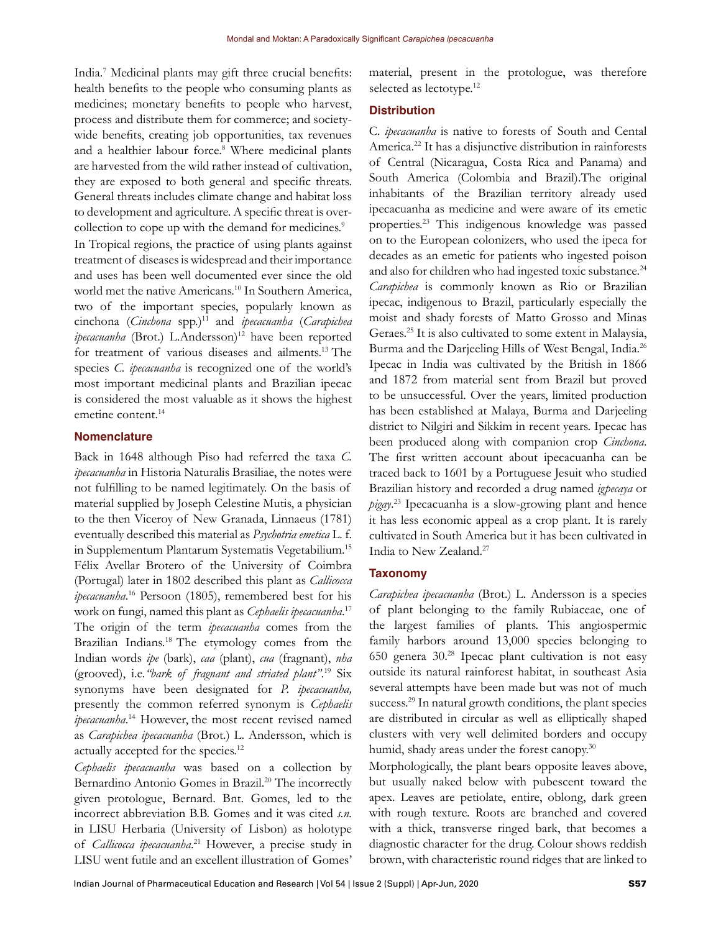India.<sup>7</sup> Medicinal plants may gift three crucial benefits: health benefits to the people who consuming plants as medicines; monetary benefits to people who harvest, process and distribute them for commerce; and societywide benefits, creating job opportunities, tax revenues and a healthier labour force.<sup>8</sup> Where medicinal plants are harvested from the wild rather instead of cultivation, they are exposed to both general and specific threats. General threats includes climate change and habitat loss to development and agriculture. A specific threat is overcollection to cope up with the demand for medicines.<sup>9</sup>

In Tropical regions, the practice of using plants against treatment of diseases is widespread and their importance and uses has been well documented ever since the old world met the native Americans.<sup>10</sup> In Southern America, two of the important species, popularly known as cinchona (*Cinchona* spp.)<sup>11</sup> and *ipecacuanha* (*Carapichea ipecacuanha* (Brot.) L.Andersson)<sup>12</sup> have been reported for treatment of various diseases and ailments.<sup>13</sup>The species *C. ipecacuanha* is recognized one of the world's most important medicinal plants and Brazilian ipecac is considered the most valuable as it shows the highest emetine content.<sup>14</sup>

## **Nomenclature**

Back in 1648 although Piso had referred the taxa *C. ipecacuanha* in Historia Naturalis Brasiliae, the notes were not fulfilling to be named legitimately. On the basis of material supplied by Joseph Celestine Mutis, a physician to the then Viceroy of New Granada, Linnaeus (1781) eventually described this material as *Psychotria emetica* L. f. in Supplementum Plantarum Systematis Vegetabilium.<sup>15</sup> Félix Avellar Brotero of the University of Coimbra (Portugal) later in 1802 described this plant as *Callicocca ipecacuanha*. <sup>16</sup> Persoon (1805), remembered best for his work on fungi, named this plant as *Cephaelis ipecacuanha*. 17 The origin of the term *ipecacuanha* comes from the Brazilian Indians.<sup>18</sup> The etymology comes from the Indian words *ipe* (bark), *caa* (plant), *cua* (fragnant), *nha*  (grooved), i.e.*"bark of fragnant and striated plant"*. <sup>19</sup> Six synonyms have been designated for *P. ipecacuanha,*  presently the common referred synonym is *Cephaelis ipecacuanha*. <sup>14</sup> However, the most recent revised named as *Carapichea ipecacuanha* (Brot.) L. Andersson, which is actually accepted for the species.<sup>12</sup>

*Cephaelis ipecacuanha* was based on a collection by Bernardino Antonio Gomes in Brazil.<sup>20</sup> The incorrectly given protologue, Bernard. Bnt. Gomes, led to the incorrect abbreviation B.B. Gomes and it was cited *s.n.* in LISU Herbaria (University of Lisbon) as holotype of *Callicocca ipecacuanha*. <sup>21</sup> However, a precise study in LISU went futile and an excellent illustration of Gomes'

material, present in the protologue, was therefore selected as lectotype.<sup>12</sup>

## **Distribution**

C*. ipecacuanha* is native to forests of South and Cental America.<sup>22</sup> It has a disjunctive distribution in rainforests of Central (Nicaragua, Costa Rica and Panama) and South America (Colombia and Brazil).The original inhabitants of the Brazilian territory already used ipecacuanha as medicine and were aware of its emetic properties.<sup>23</sup> This indigenous knowledge was passed on to the European colonizers, who used the ipeca for decades as an emetic for patients who ingested poison and also for children who had ingested toxic substance.<sup>24</sup> *Carapichea* is commonly known as Rio or Brazilian ipecac, indigenous to Brazil, particularly especially the moist and shady forests of Matto Grosso and Minas Geraes.<sup>25</sup> It is also cultivated to some extent in Malaysia, Burma and the Darjeeling Hills of West Bengal, India.<sup>26</sup> Ipecac in India was cultivated by the British in 1866 and 1872 from material sent from Brazil but proved to be unsuccessful. Over the years, limited production has been established at Malaya, Burma and Darjeeling district to Nilgiri and Sikkim in recent years. Ipecac has been produced along with companion crop *Cinchona*. The first written account about ipecacuanha can be traced back to 1601 by a Portuguese Jesuit who studied Brazilian history and recorded a drug named *igpecaya* or *pigay*. <sup>23</sup> Ipecacuanha is a slow-growing plant and hence it has less economic appeal as a crop plant. It is rarely cultivated in South America but it has been cultivated in India to New Zealand.<sup>27</sup>

#### **Taxonomy**

*Carapichea ipecacuanha* (Brot.) L. Andersson is a species of plant belonging to the family Rubiaceae, one of the largest families of plants. This angiospermic family harbors around 13,000 species belonging to 650 genera 30.<sup>28</sup> Ipecac plant cultivation is not easy outside its natural rainforest habitat, in southeast Asia several attempts have been made but was not of much success.<sup>29</sup> In natural growth conditions, the plant species are distributed in circular as well as elliptically shaped clusters with very well delimited borders and occupy humid, shady areas under the forest canopy.<sup>30</sup>

Morphologically, the plant bears opposite leaves above, but usually naked below with pubescent toward the apex. Leaves are petiolate, entire, oblong, dark green with rough texture. Roots are branched and covered with a thick, transverse ringed bark, that becomes a diagnostic character for the drug. Colour shows reddish brown, with characteristic round ridges that are linked to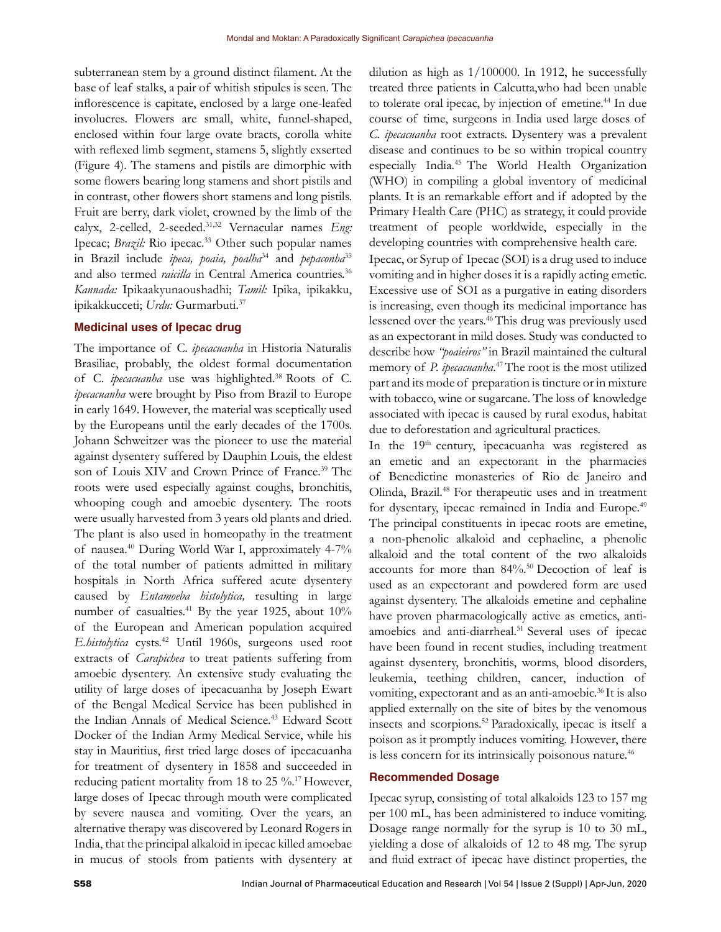subterranean stem by a ground distinct filament. At the base of leaf stalks, a pair of whitish stipules is seen. The inflorescence is capitate, enclosed by a large one-leafed involucres. Flowers are small, white, funnel-shaped, enclosed within four large ovate bracts, corolla white with reflexed limb segment, stamens 5, slightly exserted (Figure 4). The stamens and pistils are dimorphic with some flowers bearing long stamens and short pistils and in contrast, other flowers short stamens and long pistils. Fruit are berry, dark violet, crowned by the limb of the calyx, 2-celled, 2-seeded.31,32 Vernacular names *Eng:* Ipecac; *Brazil*: Rio ipecac.<sup>33</sup> Other such popular names in Brazil include *ipeca, poaia, poalha*<sup>34</sup> and *pepaconha*<sup>35</sup> and also termed *raicilla* in Central America countries.<sup>36</sup> *Kannada:* Ipikaakyunaoushadhi; *Tamil:* Ipika, ipikakku, ipikakkucceti; *Urdu:* Gurmarbuti.<sup>37</sup>

#### **Medicinal uses of Ipecac drug**

The importance of C. *ipecacuanha* in Historia Naturalis Brasiliae, probably, the oldest formal documentation of C. *ipecacuanha* use was highlighted.<sup>38</sup> Roots of C. *ipecacuanha* were brought by Piso from Brazil to Europe in early 1649. However, the material was sceptically used by the Europeans until the early decades of the 1700s. Johann Schweitzer was the pioneer to use the material against dysentery suffered by Dauphin Louis, the eldest son of Louis XIV and Crown Prince of France.<sup>39</sup> The roots were used especially against coughs, bronchitis, whooping cough and amoebic dysentery. The roots were usually harvested from 3 years old plants and dried. The plant is also used in homeopathy in the treatment of nausea.<sup>40</sup> During World War I, approximately 4-7% of the total number of patients admitted in military hospitals in North Africa suffered acute dysentery caused by *Entamoeba histolytica,* resulting in large number of casualties.<sup>41</sup> By the year 1925, about 10% of the European and American population acquired *E.histolytica* cysts.<sup>42</sup> Until 1960s, surgeons used root extracts of *Carapichea* to treat patients suffering from amoebic dysentery. An extensive study evaluating the utility of large doses of ipecacuanha by Joseph Ewart of the Bengal Medical Service has been published in the Indian Annals of Medical Science.<sup>43</sup> Edward Scott Docker of the Indian Army Medical Service, while his stay in Mauritius, first tried large doses of ipecacuanha for treatment of dysentery in 1858 and succeeded in reducing patient mortality from 18 to 25  $\%$ .<sup>17</sup> However, large doses of Ipecac through mouth were complicated by severe nausea and vomiting. Over the years, an alternative therapy was discovered by Leonard Rogers in India, that the principal alkaloid in ipecac killed amoebae in mucus of stools from patients with dysentery at dilution as high as 1/100000. In 1912, he successfully treated three patients in Calcutta,who had been unable to tolerate oral ipecac, by injection of emetine.<sup>44</sup> In due course of time, surgeons in India used large doses of *C. ipecacuanha* root extracts. Dysentery was a prevalent disease and continues to be so within tropical country especially India.<sup>45</sup> The World Health Organization (WHO) in compiling a global inventory of medicinal plants. It is an remarkable effort and if adopted by the Primary Health Care (PHC) as strategy, it could provide treatment of people worldwide, especially in the developing countries with comprehensive health care.

Ipecac, or Syrup of Ipecac (SOI) is a drug used to induce vomiting and in higher doses it is a rapidly acting emetic. Excessive use of SOI as a purgative in eating disorders is increasing, even though its medicinal importance has lessened over the years.<sup>46</sup>This drug was previously used as an expectorant in mild doses. Study was conducted to describe how *"poaieiros"* in Brazil maintained the cultural memory of *P. ipecacuanha*. <sup>47</sup>The root is the most utilized part and its mode of preparation is tincture or in mixture with tobacco, wine or sugarcane. The loss of knowledge associated with ipecac is caused by rural exodus, habitat due to deforestation and agricultural practices.

In the 19<sup>th</sup> century, ipecacuanha was registered as an emetic and an expectorant in the pharmacies of Benedictine monasteries of Rio de Janeiro and Olinda, Brazil.<sup>48</sup> For therapeutic uses and in treatment for dysentary, ipecac remained in India and Europe.<sup>49</sup> The principal constituents in ipecac roots are emetine, a non-phenolic alkaloid and cephaeline, a phenolic alkaloid and the total content of the two alkaloids accounts for more than 84%.<sup>50</sup> Decoction of leaf is used as an expectorant and powdered form are used against dysentery. The alkaloids emetine and cephaline have proven pharmacologically active as emetics, antiamoebics and anti-diarrheal.<sup>51</sup> Several uses of ipecac have been found in recent studies, including treatment against dysentery, bronchitis, worms, blood disorders, leukemia, teething children, cancer, induction of vomiting, expectorant and as an anti-amoebic.<sup>36</sup>It is also applied externally on the site of bites by the venomous insects and scorpions.<sup>52</sup>Paradoxically, ipecac is itself a poison as it promptly induces vomiting. However, there is less concern for its intrinsically poisonous nature.<sup>46</sup>

#### **Recommended Dosage**

Ipecac syrup, consisting of total alkaloids 123 to 157 mg per 100 mL, has been administered to induce vomiting. Dosage range normally for the syrup is 10 to 30 mL, yielding a dose of alkaloids of 12 to 48 mg. The syrup and fluid extract of ipecac have distinct properties, the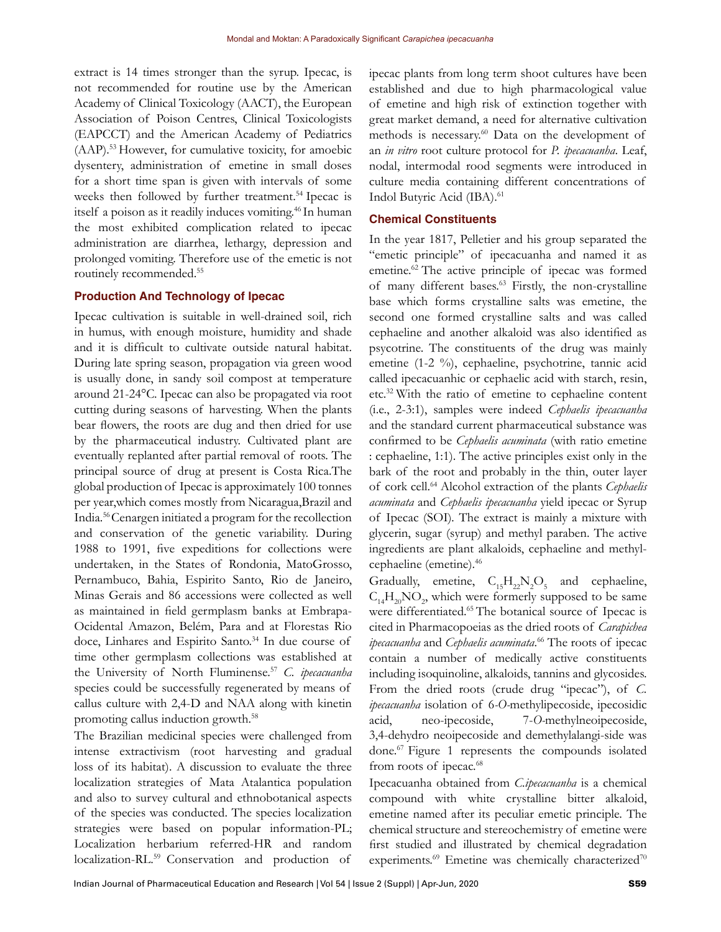extract is 14 times stronger than the syrup. Ipecac, is not recommended for routine use by the American Academy of Clinical Toxicology (AACT), the European Association of Poison Centres, Clinical Toxicologists (EAPCCT) and the American Academy of Pediatrics (AAP).<sup>53</sup>However, for cumulative toxicity, for amoebic dysentery, administration of emetine in small doses for a short time span is given with intervals of some weeks then followed by further treatment.<sup>54</sup> Ipecac is itself a poison as it readily induces vomiting.<sup>46</sup> In human the most exhibited complication related to ipecac administration are diarrhea, lethargy, depression and prolonged vomiting. Therefore use of the emetic is not routinely recommended.<sup>55</sup>

#### **Production And Technology of Ipecac**

Ipecac cultivation is suitable in well-drained soil, rich in humus, with enough moisture, humidity and shade and it is difficult to cultivate outside natural habitat. During late spring season, propagation via green wood is usually done, in sandy soil compost at temperature around 21-24°C. Ipecac can also be propagated via root cutting during seasons of harvesting. When the plants bear flowers, the roots are dug and then dried for use by the pharmaceutical industry. Cultivated plant are eventually replanted after partial removal of roots. The principal source of drug at present is Costa Rica.The global production of Ipecac is approximately 100 tonnes per year,which comes mostly from Nicaragua,Brazil and India.<sup>56</sup>Cenargen initiated a program for the recollection and conservation of the genetic variability. During 1988 to 1991, five expeditions for collections were undertaken, in the States of Rondonia, MatoGrosso, Pernambuco, Bahia, Espirito Santo, Rio de Janeiro, Minas Gerais and 86 accessions were collected as well as maintained in field germplasm banks at Embrapa-Ocidental Amazon, Belém, Para and at Florestas Rio doce, Linhares and Espirito Santo.<sup>34</sup> In due course of time other germplasm collections was established at the University of North Fluminense.<sup>57</sup> *C. ipecacuanha* species could be successfully regenerated by means of callus culture with 2,4-D and NAA along with kinetin promoting callus induction growth.<sup>58</sup>

The Brazilian medicinal species were challenged from intense extractivism (root harvesting and gradual loss of its habitat). A discussion to evaluate the three localization strategies of Mata Atalantica population and also to survey cultural and ethnobotanical aspects of the species was conducted. The species localization strategies were based on popular information-PL; Localization herbarium referred-HR and random localization-RL.<sup>59</sup> Conservation and production of

ipecac plants from long term shoot cultures have been established and due to high pharmacological value of emetine and high risk of extinction together with great market demand, a need for alternative cultivation methods is necessary.<sup>60</sup> Data on the development of an *in vitro* root culture protocol for *P. ipecacuanha*. Leaf, nodal, intermodal rood segments were introduced in culture media containing different concentrations of Indol Butyric Acid (IBA).<sup>61</sup>

## **Chemical Constituents**

In the year 1817, Pelletier and his group separated the "emetic principle" of ipecacuanha and named it as emetine.<sup>62</sup> The active principle of ipecac was formed of many different bases.<sup>63</sup> Firstly, the non-crystalline base which forms crystalline salts was emetine, the second one formed crystalline salts and was called cephaeline and another alkaloid was also identified as psycotrine. The constituents of the drug was mainly emetine (1-2 %), cephaeline, psychotrine, tannic acid called ipecacuanhic or cephaelic acid with starch, resin, etc.<sup>32</sup>With the ratio of emetine to cephaeline content (i.e., 2-3:1), samples were indeed *Cephaelis ipecacuanha*  and the standard current pharmaceutical substance was confirmed to be *Cephaelis acuminata* (with ratio emetine : cephaeline, 1:1). The active principles exist only in the bark of the root and probably in the thin, outer layer of cork cell.<sup>64</sup> Alcohol extraction of the plants *Cephaelis acuminata* and *Cephaelis ipecacuanha* yield ipecac or Syrup of Ipecac (SOI)*.* The extract is mainly a mixture with glycerin, sugar (syrup) and methyl paraben. The active ingredients are plant alkaloids, cephaeline and methylcephaeline (emetine).<sup>46</sup>

Gradually, emetine,  $C_{15}H_{22}N_2O_5$  and cephaeline,  $C_{14}H_{20}NO_2$ , which were formerly supposed to be same were differentiated.<sup>65</sup> The botanical source of Ipecac is cited in Pharmacopoeias as the dried roots of *Carapichea ipecacuanha* and *Cephaelis acuminata*. <sup>66</sup> The roots of ipecac contain a number of medically active constituents including isoquinoline, alkaloids, tannins and glycosides. From the dried roots (crude drug "ipecac"), of *C. ipecacuanha* isolation of 6*-O-*methylipecoside, ipecosidic acid, neo-ipecoside, 7-*O-*methylneoipecoside, 3,4-dehydro neoipecoside and demethylalangi-side was done.<sup>67</sup> Figure 1 represents the compounds isolated from roots of ipecac.<sup>68</sup>

Ipecacuanha obtained from *C.ipecacuanha* is a chemical compound with white crystalline bitter alkaloid, emetine named after its peculiar emetic principle. The chemical structure and stereochemistry of emetine were first studied and illustrated by chemical degradation experiments.<sup>69</sup> Emetine was chemically characterized<sup>70</sup>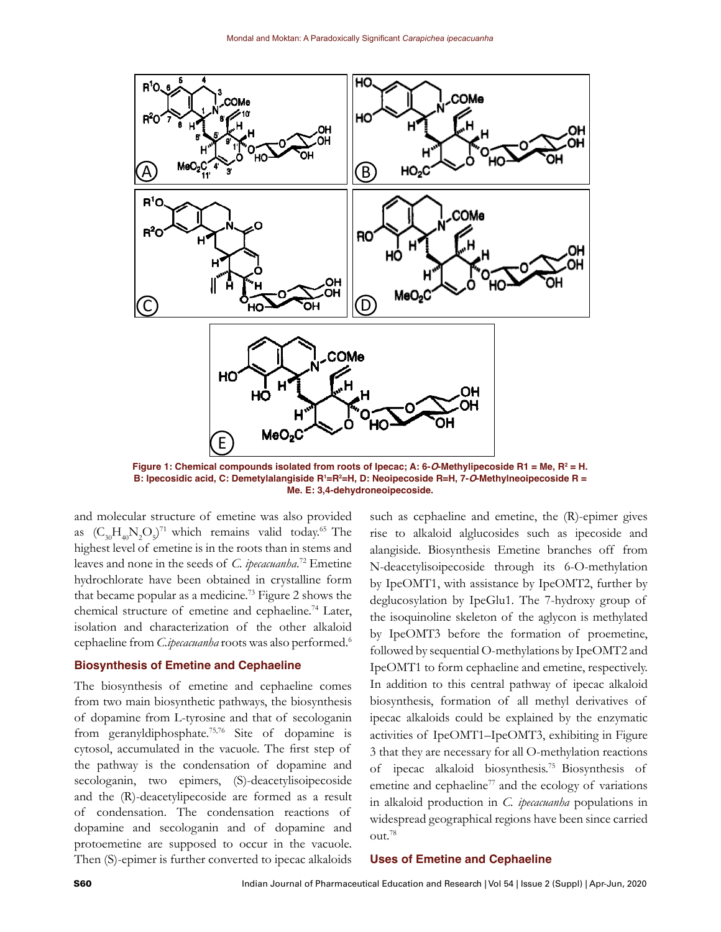

**Figure 1: Chemical compounds isolated from roots of Ipecac; A: 6-O-Methylipecoside R1 = Me, R<sup>2</sup> = H. B: Ipecosidic acid, C: Demetylalangiside R<sup>1</sup>=R<sup>2</sup>=H, D: Neoipecoside R=H, 7-O-Methylneoipecoside R = Me. E: 3,4-dehydroneoipecoside.**

and molecular structure of emetine was also provided as  $(C_{30}H_{40}N_2O_5)^{71}$  which remains valid today.<sup>65</sup> The highest level of emetine is in the roots than in stems and leaves and none in the seeds of *C. ipecacuanha*. <sup>72</sup> Emetine hydrochlorate have been obtained in crystalline form that became popular as a medicine.<sup>73</sup> Figure 2 shows the chemical structure of emetine and cephaeline.<sup>74</sup> Later, isolation and characterization of the other alkaloid cephaeline from *C.ipecacuanha* roots was also performed.<sup>6</sup>

#### **Biosynthesis of Emetine and Cephaeline**

The biosynthesis of emetine and cephaeline comes from two main biosynthetic pathways, the biosynthesis of dopamine from L-tyrosine and that of secologanin from geranyldiphosphate.75,76 Site of dopamine is cytosol, accumulated in the vacuole. The first step of the pathway is the condensation of dopamine and secologanin, two epimers, (S)-deacetylisoipecoside and the (R)-deacetylipecoside are formed as a result of condensation. The condensation reactions of dopamine and secologanin and of dopamine and protoemetine are supposed to occur in the vacuole. Then (S)-epimer is further converted to ipecac alkaloids

such as cephaeline and emetine, the (R)-epimer gives rise to alkaloid alglucosides such as ipecoside and alangiside. Biosynthesis Emetine branches off from N-deacetylisoipecoside through its 6-O-methylation by IpeOMT1, with assistance by IpeOMT2, further by deglucosylation by IpeGlu1. The 7-hydroxy group of the isoquinoline skeleton of the aglycon is methylated by IpeOMT3 before the formation of proemetine, followed by sequential O-methylations by IpeOMT2 and IpeOMT1 to form cephaeline and emetine, respectively. In addition to this central pathway of ipecac alkaloid biosynthesis, formation of all methyl derivatives of ipecac alkaloids could be explained by the enzymatic activities of IpeOMT1–IpeOMT3, exhibiting in Figure 3 that they are necessary for all O-methylation reactions of ipecac alkaloid biosynthesis.<sup>75</sup>Biosynthesis of emetine and cephaeline $77$  and the ecology of variations in alkaloid production in *C. ipecacuanha* populations in widespread geographical regions have been since carried out.<sup>78</sup>

#### **Uses of Emetine and Cephaeline**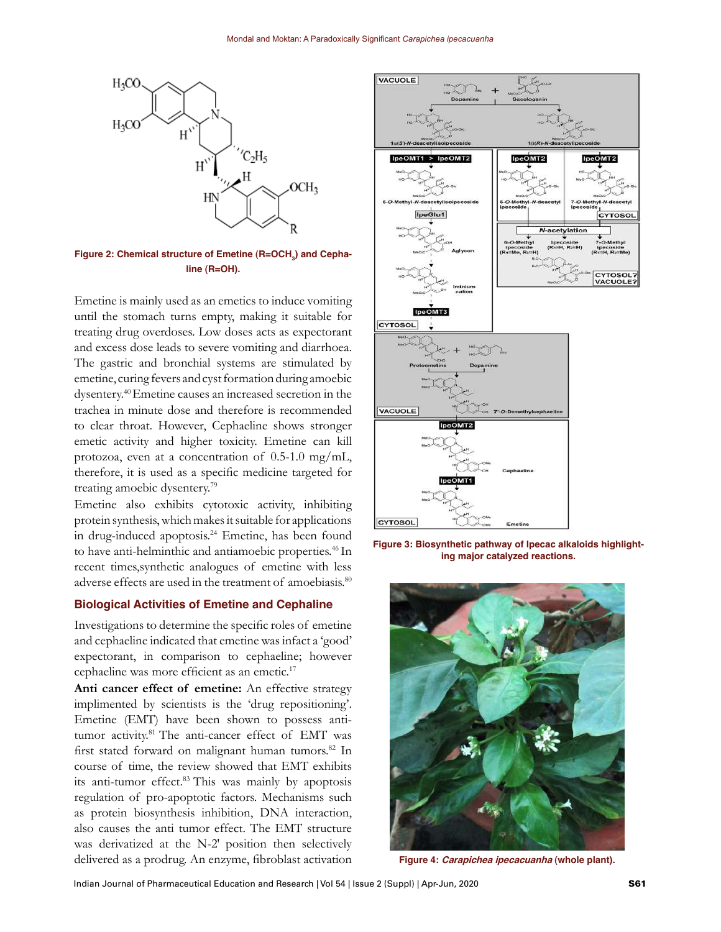

**Figure 2: Chemical structure of Emetine (R=OCH<sup>3</sup> ) and Cephaline (R=OH).**

Emetine is mainly used as an emetics to induce vomiting until the stomach turns empty, making it suitable for treating drug overdoses. Low doses acts as expectorant and excess dose leads to severe vomiting and diarrhoea. The gastric and bronchial systems are stimulated by emetine, curing fevers and cyst formation during amoebic dysentery.<sup>40</sup>Emetine causes an increased secretion in the trachea in minute dose and therefore is recommended to clear throat. However, Cephaeline shows stronger emetic activity and higher toxicity. Emetine can kill protozoa, even at a concentration of  $0.5$ -1.0 mg/mL, therefore, it is used as a specific medicine targeted for treating amoebic dysentery.<sup>79</sup>

Emetine also exhibits cytotoxic activity, inhibiting protein synthesis, which makes it suitable for applications in drug-induced apoptosis.<sup>24</sup> Emetine, has been found to have anti-helminthic and antiamoebic properties.<sup>46</sup> In recent times,synthetic analogues of emetine with less adverse effects are used in the treatment of amoebiasis.<sup>80</sup>

#### **Biological Activities of Emetine and Cephaline**

Investigations to determine the specific roles of emetine and cephaeline indicated that emetine was infact a 'good' expectorant, in comparison to cephaeline; however cephaeline was more efficient as an emetic.<sup>17</sup>

**Anti cancer effect of emetine:** An effective strategy implimented by scientists is the 'drug repositioning'. Emetine (EMT) have been shown to possess antitumor activity.<sup>81</sup> The anti-cancer effect of EMT was first stated forward on malignant human tumors.<sup>82</sup> In course of time, the review showed that EMT exhibits its anti-tumor effect.<sup>83</sup> This was mainly by apoptosis regulation of pro-apoptotic factors. Mechanisms such as protein biosynthesis inhibition, DNA interaction, also causes the anti tumor effect. The EMT structure was derivatized at the N-2′ position then selectively delivered as a prodrug. An enzyme, fibroblast activation



**Figure 3: Biosynthetic pathway of Ipecac alkaloids highlighting major catalyzed reactions.** 



**Figure 4: Carapichea ipecacuanha (whole plant).**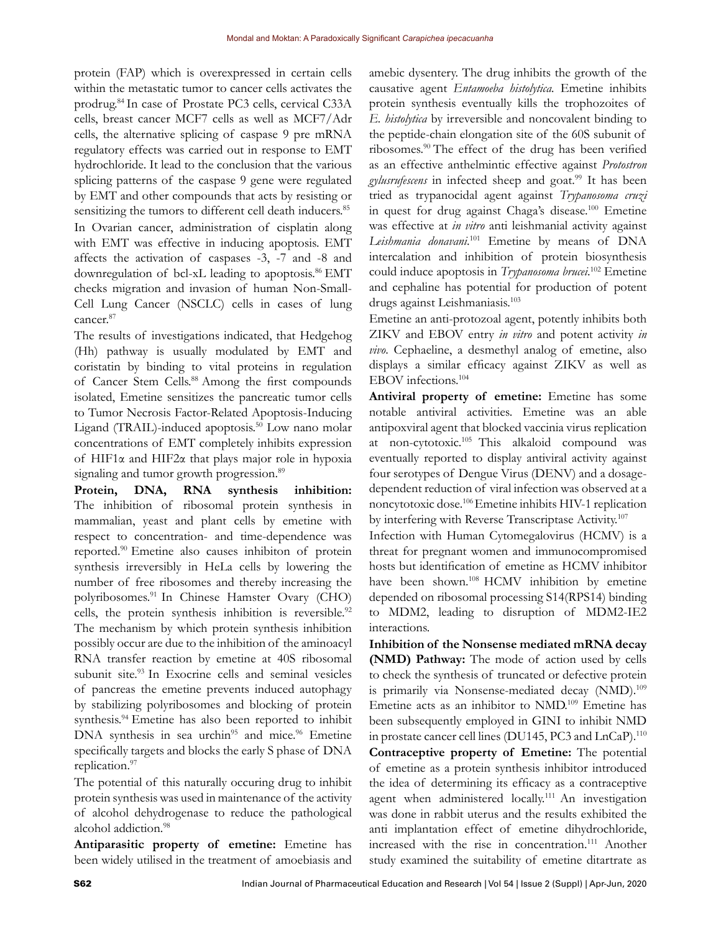protein (FAP) which is overexpressed in certain cells within the metastatic tumor to cancer cells activates the prodrug.<sup>84</sup>In case of Prostate PC3 cells, cervical C33A cells, breast cancer MCF7 cells as well as MCF7/Adr cells, the alternative splicing of caspase 9 pre mRNA regulatory effects was carried out in response to EMT hydrochloride. It lead to the conclusion that the various splicing patterns of the caspase 9 gene were regulated by EMT and other compounds that acts by resisting or sensitizing the tumors to different cell death inducers.<sup>85</sup> In Ovarian cancer, administration of cisplatin along with EMT was effective in inducing apoptosis. EMT affects the activation of caspases -3, -7 and -8 and downregulation of bcl-xL leading to apoptosis.<sup>86</sup> EMT checks migration and invasion of human Non-Small-Cell Lung Cancer (NSCLC) cells in cases of lung cancer.<sup>87</sup>

The results of investigations indicated, that Hedgehog (Hh) pathway is usually modulated by EMT and coristatin by binding to vital proteins in regulation of Cancer Stem Cells.<sup>88</sup> Among the first compounds isolated, Emetine sensitizes the pancreatic tumor cells to Tumor Necrosis Factor-Related Apoptosis-Inducing Ligand (TRAIL)-induced apoptosis.<sup>50</sup> Low nano molar concentrations of EMT completely inhibits expression of HIF1α and HIF2α that plays major role in hypoxia signaling and tumor growth progression.<sup>89</sup>

**Protein, DNA, RNA synthesis inhibition:** The inhibition of ribosomal protein synthesis in mammalian, yeast and plant cells by emetine with respect to concentration- and time-dependence was reported.<sup>90</sup> Emetine also causes inhibiton of protein synthesis irreversibly in HeLa cells by lowering the number of free ribosomes and thereby increasing the polyribosomes.<sup>91</sup> In Chinese Hamster Ovary (CHO) cells, the protein synthesis inhibition is reversible.<sup>92</sup> The mechanism by which protein synthesis inhibition possibly occur are due to the inhibition of the aminoacyl RNA transfer reaction by emetine at 40S ribosomal subunit site.<sup>93</sup> In Exocrine cells and seminal vesicles of pancreas the emetine prevents induced autophagy by stabilizing polyribosomes and blocking of protein synthesis.<sup>94</sup> Emetine has also been reported to inhibit DNA synthesis in sea urchin<sup>95</sup> and mice.<sup>96</sup> Emetine specifically targets and blocks the early S phase of DNA replication.<sup>97</sup>

The potential of this naturally occuring drug to inhibit protein synthesis was used in maintenance of the activity of alcohol dehydrogenase to reduce the pathological alcohol addiction.<sup>98</sup>

**Antiparasitic property of emetine:** Emetine has been widely utilised in the treatment of amoebiasis and

amebic dysentery. The drug inhibits the growth of the causative agent *Entamoeba histolytica.* Emetine inhibits protein synthesis eventually kills the trophozoites of *E. histolytica* by irreversible and noncovalent binding to the peptide-chain elongation site of the 60S subunit of ribosomes.<sup>90</sup>The effect of the drug has been verified as an effective anthelmintic effective against *Protostron gylusrufescens* in infected sheep and goat.<sup>99</sup> It has been tried as trypanocidal agent against *Trypanosoma cruzi* in quest for drug against Chaga's disease.<sup>100</sup> Emetine was effective at *in vitro* anti leishmanial activity against *Leishmania donavani*. <sup>101</sup> Emetine by means of DNA intercalation and inhibition of protein biosynthesis could induce apoptosis in *Trypanosoma brucei*. <sup>102</sup> Emetine and cephaline has potential for production of potent drugs against Leishmaniasis.<sup>103</sup>

Emetine an anti-protozoal agent, potently inhibits both ZIKV and EBOV entry *in vitro* and potent activity *in vivo*. Cephaeline, a desmethyl analog of emetine, also displays a similar efficacy against ZIKV as well as EBOV infections.<sup>104</sup>

**Antiviral property of emetine:** Emetine has some notable antiviral activities. Emetine was an able antipoxviral agent that blocked vaccinia virus replication at non-cytotoxic.<sup>105</sup> This alkaloid compound was eventually reported to display antiviral activity against four serotypes of Dengue Virus (DENV) and a dosagedependent reduction of viral infection was observed at a noncytotoxic dose.<sup>106</sup> Emetine inhibits HIV-1 replication by interfering with Reverse Transcriptase Activity.<sup>107</sup>

Infection with Human Cytomegalovirus (HCMV) is a threat for pregnant women and immunocompromised hosts but identification of emetine as HCMV inhibitor have been shown.<sup>108</sup> HCMV inhibition by emetine depended on ribosomal processing S14(RPS14) binding to MDM2, leading to disruption of MDM2-IE2 interactions.

**Inhibition of the Nonsense mediated mRNA decay (NMD) Pathway:** The mode of action used by cells to check the synthesis of truncated or defective protein is primarily via Nonsense-mediated decay (NMD).<sup>109</sup> Emetine acts as an inhibitor to NMD.<sup>109</sup> Emetine has been subsequently employed in GINI to inhibit NMD in prostate cancer cell lines (DU145, PC3 and LnCaP).<sup>110</sup> **Contraceptive property of Emetine:** The potential of emetine as a protein synthesis inhibitor introduced the idea of determining its efficacy as a contraceptive agent when administered locally.<sup>111</sup> An investigation was done in rabbit uterus and the results exhibited the anti implantation effect of emetine dihydrochloride, increased with the rise in concentration.<sup>111</sup> Another study examined the suitability of emetine ditartrate as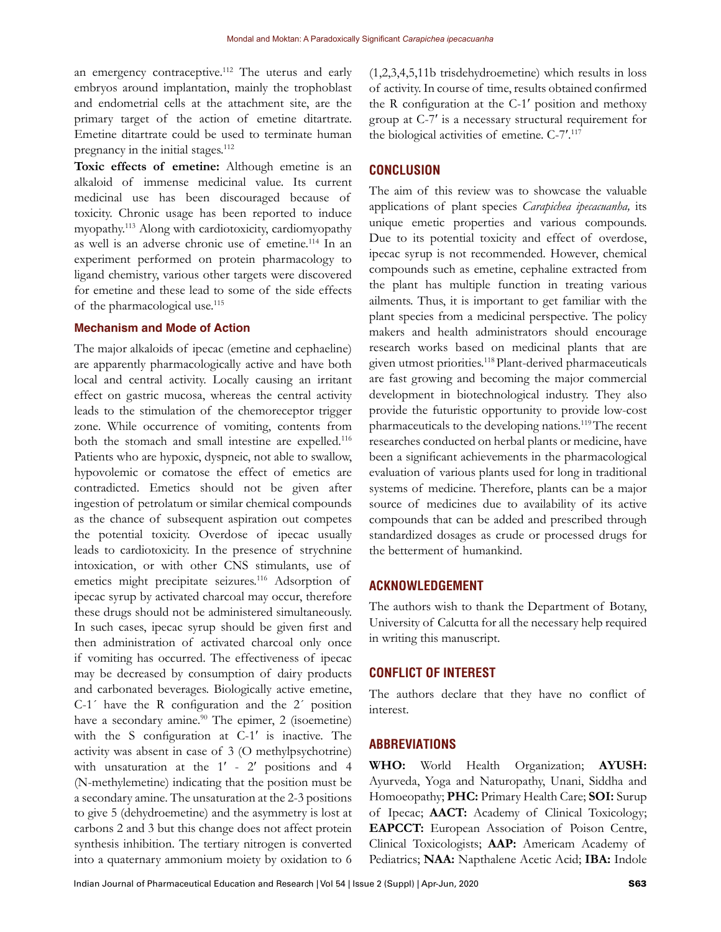an emergency contraceptive.<sup>112</sup> The uterus and early embryos around implantation, mainly the trophoblast and endometrial cells at the attachment site, are the primary target of the action of emetine ditartrate. Emetine ditartrate could be used to terminate human pregnancy in the initial stages.<sup>112</sup>

**Toxic effects of emetine:** Although emetine is an alkaloid of immense medicinal value. Its current medicinal use has been discouraged because of toxicity. Chronic usage has been reported to induce myopathy.<sup>113</sup> Along with cardiotoxicity, cardiomyopathy as well is an adverse chronic use of emetine.<sup>114</sup> In an experiment performed on protein pharmacology to ligand chemistry, various other targets were discovered for emetine and these lead to some of the side effects of the pharmacological use.<sup>115</sup>

## **Mechanism and Mode of Action**

The major alkaloids of ipecac (emetine and cephaeline) are apparently pharmacologically active and have both local and central activity. Locally causing an irritant effect on gastric mucosa, whereas the central activity leads to the stimulation of the chemoreceptor trigger zone. While occurrence of vomiting, contents from both the stomach and small intestine are expelled.<sup>116</sup> Patients who are hypoxic, dyspneic, not able to swallow, hypovolemic or comatose the effect of emetics are contradicted. Emetics should not be given after ingestion of petrolatum or similar chemical compounds as the chance of subsequent aspiration out competes the potential toxicity. Overdose of ipecac usually leads to cardiotoxicity. In the presence of strychnine intoxication, or with other CNS stimulants, use of emetics might precipitate seizures.<sup>116</sup> Adsorption of ipecac syrup by activated charcoal may occur, therefore these drugs should not be administered simultaneously. In such cases, ipecac syrup should be given first and then administration of activated charcoal only once if vomiting has occurred. The effectiveness of ipecac may be decreased by consumption of dairy products and carbonated beverages. Biologically active emetine, C-1´ have the R configuration and the 2´ position have a secondary amine.<sup>90</sup> The epimer, 2 (isoemetine) with the S configuration at C-1ʹ is inactive. The activity was absent in case of 3 (O methylpsychotrine) with unsaturation at the 1' - 2' positions and 4 (N-methylemetine) indicating that the position must be a secondary amine. The unsaturation at the 2-3 positions to give 5 (dehydroemetine) and the asymmetry is lost at carbons 2 and 3 but this change does not affect protein synthesis inhibition. The tertiary nitrogen is converted into a quaternary ammonium moiety by oxidation to 6 (1,2,3,4,5,11b trisdehydroemetine) which results in loss of activity. In course of time, results obtained confirmed the R configuration at the C-1ʹ position and methoxy group at C-7ʹ is a necessary structural requirement for the biological activities of emetine. C-7ʹ. 117

## **CONCLUSION**

The aim of this review was to showcase the valuable applications of plant species *Carapichea ipecacuanha,* its unique emetic properties and various compounds. Due to its potential toxicity and effect of overdose, ipecac syrup is not recommended. However, chemical compounds such as emetine, cephaline extracted from the plant has multiple function in treating various ailments. Thus, it is important to get familiar with the plant species from a medicinal perspective. The policy makers and health administrators should encourage research works based on medicinal plants that are given utmost priorities.<sup>118</sup> Plant-derived pharmaceuticals are fast growing and becoming the major commercial development in biotechnological industry. They also provide the futuristic opportunity to provide low-cost pharmaceuticals to the developing nations.<sup>119</sup>The recent researches conducted on herbal plants or medicine, have been a significant achievements in the pharmacological evaluation of various plants used for long in traditional systems of medicine. Therefore, plants can be a major source of medicines due to availability of its active compounds that can be added and prescribed through standardized dosages as crude or processed drugs for the betterment of humankind.

## **ACKNOWLEDGEMENT**

The authors wish to thank the Department of Botany, University of Calcutta for all the necessary help required in writing this manuscript.

## **CONFLICT OF INTEREST**

The authors declare that they have no conflict of interest.

## **ABBREVIATIONS**

**WHO:** World Health Organization; **AYUSH:**  Ayurveda, Yoga and Naturopathy, Unani, Siddha and Homoeopathy; **PHC:** Primary Health Care; **SOI:** Surup of Ipecac; **AACT:** Academy of Clinical Toxicology; **EAPCCT:** European Association of Poison Centre, Clinical Toxicologists; **AAP:** Americam Academy of Pediatrics; **NAA:** Napthalene Acetic Acid; **IBA:** Indole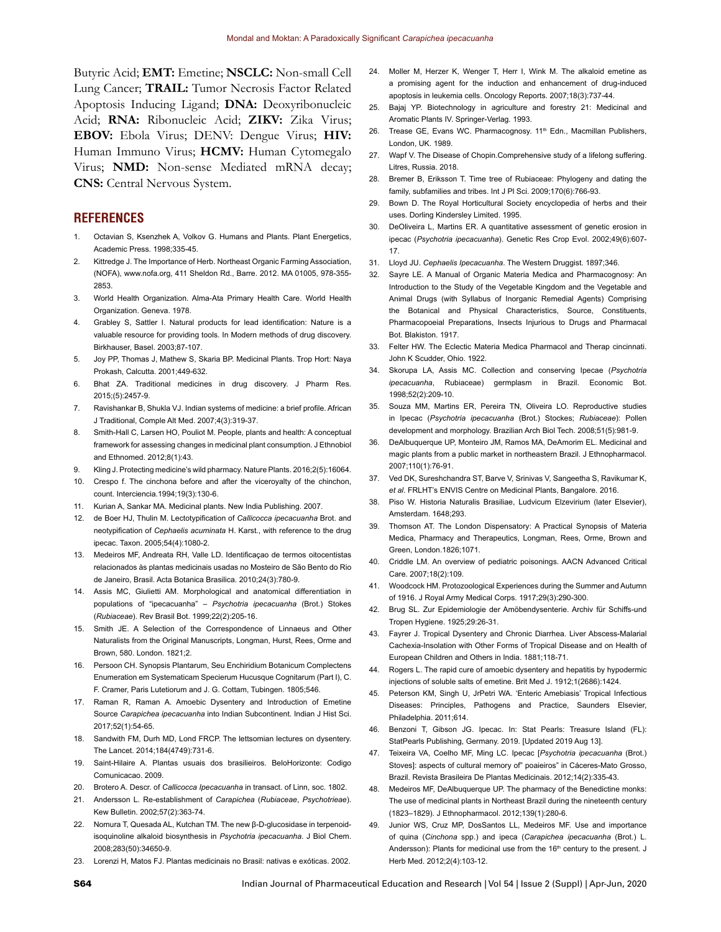Butyric Acid; **EMT:** Emetine; **NSCLC:** Non-small Cell Lung Cancer; **TRAIL:** Tumor Necrosis Factor Related Apoptosis Inducing Ligand; **DNA:** Deoxyribonucleic Acid; **RNA:** Ribonucleic Acid; **ZIKV:** Zika Virus; **EBOV:** Ebola Virus; DENV: Dengue Virus; **HIV:** Human Immuno Virus; **HCMV:** Human Cytomegalo Virus; **NMD:** Non-sense Mediated mRNA decay; **CNS:** Central Nervous System.

#### **REFERENCES**

- 1. Octavian S, Ksenzhek A, Volkov G. Humans and Plants. Plant Energetics, Academic Press. 1998;335-45.
- 2. Kittredge J. The Importance of Herb. Northeast Organic Farming Association, (NOFA), www.nofa.org, 411 Sheldon Rd., Barre. 2012. MA 01005, 978-355- 2853.
- 3. World Health Organization. Alma-Ata Primary Health Care. World Health Organization. Geneva. 1978.
- 4. Grabley S, Sattler I. Natural products for lead identification: Nature is a valuable resource for providing tools. In Modern methods of drug discovery. Birkhauser, Basel. 2003;87-107.
- 5. Joy PP, Thomas J, Mathew S, Skaria BP. Medicinal Plants. Trop Hort: Naya Prokash, Calcutta. 2001;449-632.
- 6. Bhat ZA. Traditional medicines in drug discovery. J Pharm Res. 2015;(5):2457-9.
- 7. Ravishankar B, Shukla VJ. Indian systems of medicine: a brief profile. African J Traditional, Comple Alt Med. 2007;4(3):319-37.
- 8. Smith-Hall C, Larsen HO, Pouliot M. People, plants and health: A conceptual framework for assessing changes in medicinal plant consumption. J Ethnobiol and Ethnomed. 2012;8(1):43.
- 9. Kling J. Protecting medicine's wild pharmacy. Nature Plants. 2016;2(5):16064.
- 10. Crespo f. The cinchona before and after the viceroyalty of the chinchon, count. Interciencia.1994;19(3):130-6.
- 11. Kurian A, Sankar MA. Medicinal plants. New India Publishing. 2007.
- 12. de Boer HJ, Thulin M. Lectotypification of *Callicocca ipecacuanha* Brot. and neotypification of *Cephaelis acuminata* H. Karst., with reference to the drug ipecac. Taxon. 2005;54(4):1080-2.
- 13. Medeiros MF, Andreata RH, Valle LD. Identificaçao de termos oitocentistas relacionados às plantas medicinais usadas no Mosteiro de São Bento do Rio de Janeiro, Brasil. Acta Botanica Brasilica. 2010;24(3):780-9.
- 14. Assis MC, Giulietti AM. Morphological and anatomical differentiation in populations of "ipecacuanha" – *Psychotria ipecacuanha* (Brot.) Stokes (*Rubiaceae*). Rev Brasil Bot. 1999;22(2):205-16.
- 15. Smith JE. A Selection of the Correspondence of Linnaeus and Other Naturalists from the Original Manuscripts, Longman, Hurst, Rees, Orme and Brown, 580. London. 1821;2.
- 16. Persoon CH. Synopsis Plantarum, Seu Enchiridium Botanicum Complectens Enumeration em Systematicam Specierum Hucusque Cognitarum (Part I), C. F. Cramer, Paris Lutetiorum and J. G. Cottam, Tubingen. 1805;546.
- 17. Raman R, Raman A. Amoebic Dysentery and Introduction of Emetine Source *Carapichea ipecacuanha* into Indian Subcontinent. Indian J Hist Sci. 2017;52(1):54-65.
- 18. Sandwith FM, Durh MD, Lond FRCP. The lettsomian lectures on dysentery. The Lancet. 2014;184(4749):731-6.
- 19. Saint-Hilaire A. Plantas usuais dos brasilieiros. BeloHorizonte: Codigo Comunicacao. 2009.
- 20. Brotero A. Descr. of *Callicocca Ipecacuanha* in transact. of Linn, soc. 1802.
- 21. Andersson L. Re-establishment of *Carapichea* (*Rubiaceae*, *Psychotrieae*). Kew Bulletin. 2002;57(2):363-74.
- 22. Nomura T, Quesada AL, Kutchan TM. The new β-D-glucosidase in terpenoidisoquinoline alkaloid biosynthesis in *Psychotria ipecacuanha*. J Biol Chem. 2008;283(50):34650-9.
- 23. Lorenzi H, Matos FJ. Plantas medicinais no Brasil: nativas e exóticas. 2002.
- 24. Moller M, Herzer K, Wenger T, Herr I, Wink M. The alkaloid emetine as a promising agent for the induction and enhancement of drug-induced apoptosis in leukemia cells. Oncology Reports. 2007;18(3):737-44.
- 25. Bajaj YP. Biotechnology in agriculture and forestry 21: Medicinal and Aromatic Plants IV. Springer-Verlag. 1993.
- 26. Trease GE, Evans WC. Pharmacognosy. 11<sup>th</sup> Edn., Macmillan Publishers, London, UK. 1989.
- 27. Wapf V. The Disease of Chopin.Comprehensive study of a lifelong suffering. Litres, Russia. 2018.
- 28. Bremer B, Eriksson T. Time tree of Rubiaceae: Phylogeny and dating the family, subfamilies and tribes. Int J Pl Sci. 2009;170(6):766-93.
- 29. Bown D. The Royal Horticultural Society encyclopedia of herbs and their uses. Dorling Kindersley Limited. 1995.
- 30. DeOliveira L, Martins ER. A quantitative assessment of genetic erosion in ipecac (*Psychotria ipecacuanha*). Genetic Res Crop Evol. 2002;49(6):607- 17.
- 31. Lloyd JU. *Cephaelis Ipecacuanha*. The Western Druggist. 1897;346.
- 32. Sayre LE. A Manual of Organic Materia Medica and Pharmacognosy: An Introduction to the Study of the Vegetable Kingdom and the Vegetable and Animal Drugs (with Syllabus of Inorganic Remedial Agents) Comprising the Botanical and Physical Characteristics, Source, Constituents, Pharmacopoeial Preparations, Insects Injurious to Drugs and Pharmacal Bot. Blakiston. 1917.
- 33. Felter HW. The Eclectic Materia Medica Pharmacol and Therap cincinnati. John K Scudder, Ohio. 1922.
- 34. Skorupa LA, Assis MC. Collection and conserving Ipecae (*Psychotria ipecacuanha*, Rubiaceae) germplasm in Brazil. Economic Bot. 1998;52(2):209-10.
- 35. Souza MM, Martins ER, Pereira TN, Oliveira LO. Reproductive studies in Ipecac (*Psychotria ipecacuanha* (Brot.) Stockes; *Rubiaceae*): Pollen development and morphology. Brazilian Arch Biol Tech. 2008;51(5):981-9.
- 36. DeAlbuquerque UP, Monteiro JM, Ramos MA, DeAmorim EL. Medicinal and magic plants from a public market in northeastern Brazil. J Ethnopharmacol. 2007;110(1):76-91.
- 37. Ved DK, Sureshchandra ST, Barve V, Srinivas V, Sangeetha S, Ravikumar K, *et al*. FRLHT's ENVIS Centre on Medicinal Plants, Bangalore. 2016.
- 38. Piso W. Historia Naturalis Brasiliae, Ludvicum Elzevirium (later Elsevier), Amsterdam. 1648;293.
- 39. Thomson AT. The London Dispensatory: A Practical Synopsis of Materia Medica, Pharmacy and Therapeutics, Longman, Rees, Orme, Brown and Green, London.1826;1071.
- 40. Criddle LM. An overview of pediatric poisonings. AACN Advanced Critical Care. 2007;18(2):109.
- 41. Woodcock HM. Protozoological Experiences during the Summer and Autumn of 1916. J Royal Army Medical Corps. 1917;29(3):290-300.
- 42. Brug SL. Zur Epidemiologie der Amöbendysenterie. Archiv für Schiffs-und Tropen Hygiene. 1925;29:26-31.
- 43. Fayrer J. Tropical Dysentery and Chronic Diarrhea. Liver Abscess-Malarial Cachexia-Insolation with Other Forms of Tropical Disease and on Health of European Children and Others in India. 1881;118-71.
- 44. Rogers L. The rapid cure of amoebic dysentery and hepatitis by hypodermic injections of soluble salts of emetine. Brit Med J. 1912;1(2686):1424.
- 45. Peterson KM, Singh U, JrPetri WA. 'Enteric Amebiasis' Tropical Infectious Diseases: Principles, Pathogens and Practice, Saunders Elsevier, Philadelphia. 2011;614.
- 46. Benzoni T, Gibson JG. Ipecac. In: Stat Pearls: Treasure Island (FL): StatPearls Publishing, Germany. 2019. [Updated 2019 Aug 13].
- 47. Teixeira VA, Coelho MF, Ming LC. Ipecac [*Psychotria ipecacuanha* (Brot.) Stoves]: aspects of cultural memory of" poaieiros" in Cáceres-Mato Grosso, Brazil. Revista Brasileira De Plantas Medicinais. 2012;14(2):335-43.
- 48. Medeiros MF, DeAlbuquerque UP. The pharmacy of the Benedictine monks: The use of medicinal plants in Northeast Brazil during the nineteenth century (1823–1829). J Ethnopharmacol. 2012;139(1):280-6.
- 49. Junior WS, Cruz MP, DosSantos LL, Medeiros MF. Use and importance of quina (*Cinchona* spp.) and ipeca (*Carapichea ipecacuanha* (Brot.) L. Andersson): Plants for medicinal use from the 16<sup>th</sup> century to the present. J Herb Med. 2012;2(4):103-12.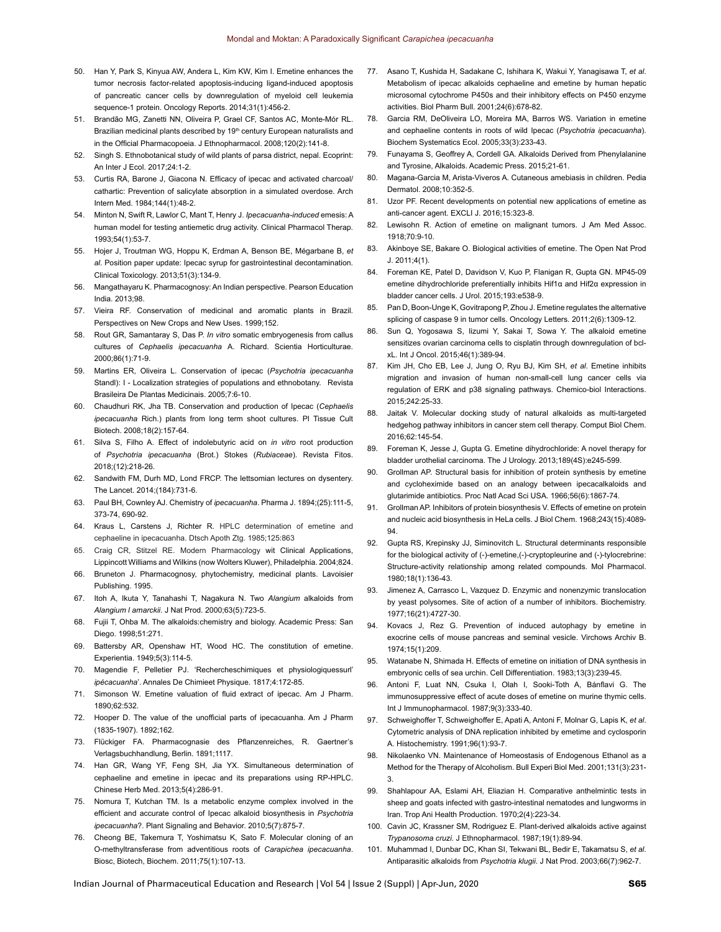- 50. Han Y, Park S, Kinyua AW, Andera L, Kim KW, Kim I. Emetine enhances the tumor necrosis factor-related apoptosis-inducing ligand-induced apoptosis of pancreatic cancer cells by downregulation of myeloid cell leukemia sequence-1 protein. Oncology Reports. 2014;31(1):456-2.
- 51. Brandão MG, Zanetti NN, Oliveira P, Grael CF, Santos AC, Monte-Mór RL. Brazilian medicinal plants described by 19<sup>th</sup> century European naturalists and in the Official Pharmacopoeia. J Ethnopharmacol. 2008;120(2):141-8.
- Singh S. Ethnobotanical study of wild plants of parsa district, nepal. Ecoprint: An Inter J Ecol. 2017;24:1-2.
- 53. Curtis RA, Barone J, Giacona N. Efficacy of ipecac and activated charcoal/ cathartic: Prevention of salicylate absorption in a simulated overdose. Arch Intern Med. 1984;144(1):48-2.
- 54. Minton N, Swift R, Lawlor C, Mant T, Henry J. *Ipecacuanha-induced* emesis: A human model for testing antiemetic drug activity. Clinical Pharmacol Therap. 1993;54(1):53-7.
- 55. Hojer J, Troutman WG, Hoppu K, Erdman A, Benson BE, Mégarbane B, *et al*. Position paper update: Ipecac syrup for gastrointestinal decontamination. Clinical Toxicology. 2013;51(3):134-9.
- 56. Mangathayaru K. Pharmacognosy: An Indian perspective. Pearson Education India. 2013;98.
- 57. Vieira RF. Conservation of medicinal and aromatic plants in Brazil. Perspectives on New Crops and New Uses. 1999;152.
- 58. Rout GR, Samantaray S, Das P. *In vitro* somatic embryogenesis from callus cultures of *Cephaelis ipecacuanha* A. Richard. Scientia Horticulturae. 2000;86(1):71-9.
- 59. Martins ER, Oliveira L. Conservation of ipecac (*Psychotria ipecacuanha*  Standl): I - Localization strategies of populations and ethnobotany. Revista Brasileira De Plantas Medicinais. 2005;7:6-10.
- 60. Chaudhuri RK, Jha TB. Conservation and production of Ipecac (*Cephaelis ipecacuanha* Rich.) plants from long term shoot cultures. Pl Tissue Cult Biotech. 2008;18(2):157-64.
- 61. Silva S, Filho A. Effect of indolebutyric acid on *in vitro* root production of *Psychotria ipecacuanha* (Brot.) Stokes (*Rubiaceae*). Revista Fitos. 2018;(12):218-26.
- Sandwith FM, Durh MD, Lond FRCP. The lettsomian lectures on dysentery. The Lancet. 2014;(184):731-6.
- 63. Paul BH, Cownley AJ. Chemistry of *ipecacuanha*. Pharma J. 1894;(25):111-5, 373-74, 690-92.
- 64. Kraus L, Carstens J, Richter R. HPLC determination of emetine and cephaeline in ipecacuanha. Dtsch Apoth Ztg. 1985;125:863
- 65. Craig CR, Stitzel RE. Modern Pharmacology wit Clinical Applications, Lippincott Williams and Wilkins (now Wolters Kluwer), Philadelphia. 2004;824.
- 66. Bruneton J. Pharmacognosy, phytochemistry, medicinal plants. Lavoisier Publishing. 1995.
- 67. Itoh A, Ikuta Y, Tanahashi T, Nagakura N. Two *Alangium* alkaloids from *Alangium l amarckii*. J Nat Prod. 2000;63(5):723-5.
- 68. Fujii T, Ohba M. The alkaloids:chemistry and biology. Academic Press: San Diego. 1998;51:271.
- 69. Battersby AR, Openshaw HT, Wood HC. The constitution of emetine. Experientia. 1949;5(3):114-5.
- 70. Magendie F, Pelletier PJ. 'Rechercheschimiques et physiologiquessurl' *ipécacuanha*'. Annales De Chimieet Physique. 1817;4:172-85.
- 71. Simonson W. Emetine valuation of fluid extract of ipecac. Am J Pharm. 1890;62:532.
- 72. Hooper D. The value of the unofficial parts of ipecacuanha. Am J Pharm (1835-1907). 1892;162.
- 73. Flückiger FA. Pharmacognasie des Pflanzenreiches, R. Gaertner's Verlagsbuchhandlung, Berlin. 1891;1117.
- 74. Han GR, Wang YF, Feng SH, Jia YX. Simultaneous determination of cephaeline and emetine in ipecac and its preparations using RP-HPLC. Chinese Herb Med. 2013;5(4):286-91.
- 75. Nomura T, Kutchan TM. Is a metabolic enzyme complex involved in the efficient and accurate control of Ipecac alkaloid biosynthesis in *Psychotria ipecacuanha*?. Plant Signaling and Behavior. 2010;5(7):875-7.
- 76. Cheong BE, Takemura T, Yoshimatsu K, Sato F. Molecular cloning of an O-methyltransferase from adventitious roots of *Carapichea ipecacuanha*. Biosc, Biotech, Biochem. 2011;75(1):107-13.
- 77. Asano T, Kushida H, Sadakane C, Ishihara K, Wakui Y, Yanagisawa T, *et al*. Metabolism of ipecac alkaloids cephaeline and emetine by human hepatic microsomal cytochrome P450s and their inhibitory effects on P450 enzyme activities. Biol Pharm Bull. 2001;24(6):678-82.
- 78. Garcia RM, DeOliveira LO, Moreira MA, Barros WS. Variation in emetine and cephaeline contents in roots of wild Ipecac (*Psychotria ipecacuanha*). Biochem Systematics Ecol. 2005;33(3):233-43.
- 79. Funayama S, Geoffrey A, Cordell GA. Alkaloids Derived from Phenylalanine and Tyrosine, Alkaloids. Academic Press. 2015;21-61.
- 80. Magana-Garcia M, Arista-Viveros A. Cutaneous amebiasis in children. Pedia Dermatol. 2008;10:352-5.
- 81. Uzor PF. Recent developments on potential new applications of emetine as anti-cancer agent. EXCLI J. 2016;15:323-8.
- 82. Lewisohn R. Action of emetine on malignant tumors. J Am Med Assoc. 1918;70:9-10.
- 83. Akinboye SE, Bakare O. Biological activities of emetine. The Open Nat Prod J. 2011;4(1).
- 84. Foreman KE, Patel D, Davidson V, Kuo P, Flanigan R, Gupta GN. MP45-09 emetine dihydrochloride preferentially inhibits Hif1α and Hif2α expression in bladder cancer cells. J Urol. 2015;193:e538-9.
- 85. Pan D, Boon-Unge K, Govitrapong P, Zhou J. Emetine regulates the alternative splicing of caspase 9 in tumor cells. Oncology Letters. 2011;2(6):1309-12.
- 86. Sun Q, Yogosawa S, Iizumi Y, Sakai T, Sowa Y. The alkaloid emetine sensitizes ovarian carcinoma cells to cisplatin through downregulation of bclxL. Int J Oncol. 2015;46(1):389-94.
- 87. Kim JH, Cho EB, Lee J, Jung O, Ryu BJ, Kim SH, *et al*. Emetine inhibits migration and invasion of human non-small-cell lung cancer cells via regulation of ERK and p38 signaling pathways. Chemico-biol Interactions. 2015;242:25-33.
- 88. Jaitak V. Molecular docking study of natural alkaloids as multi-targeted hedgehog pathway inhibitors in cancer stem cell therapy. Comput Biol Chem. 2016;62:145-54.
- 89. Foreman K, Jesse J, Gupta G. Emetine dihydrochloride: A novel therapy for bladder urothelial carcinoma. The J Urology. 2013;189(4S):e245-599.
- 90. Grollman AP. Structural basis for inhibition of protein synthesis by emetine and cycloheximide based on an analogy between ipecacalkaloids and glutarimide antibiotics. Proc Natl Acad Sci USA. 1966;56(6):1867-74.
- 91. Grollman AP. Inhibitors of protein biosynthesis V. Effects of emetine on protein and nucleic acid biosynthesis in HeLa cells. J Biol Chem. 1968;243(15):4089- 94.
- 92. Gupta RS, Krepinsky JJ, Siminovitch L. Structural determinants responsible for the biological activity of (-)-emetine,(-)-cryptopleurine and (-)-tylocrebrine: Structure-activity relationship among related compounds. Mol Pharmacol. 1980;18(1):136-43.
- 93. Jimenez A, Carrasco L, Vazquez D. Enzymic and nonenzymic translocation by yeast polysomes. Site of action of a number of inhibitors. Biochemistry. 1977;16(21):4727-30.
- 94. Kovacs J, Rez G. Prevention of induced autophagy by emetine in exocrine cells of mouse pancreas and seminal vesicle. Virchows Archiv B. 1974;15(1):209.
- 95. Watanabe N, Shimada H. Effects of emetine on initiation of DNA synthesis in embryonic cells of sea urchin. Cell Differentiation. 1983;13(3):239-45.
- 96. Antoni F, Luat NN, Csuka I, Olah I, Sooki-Toth A, Bánflavi G. The immunosuppressive effect of acute doses of emetine on murine thymic cells. Int J Immunopharmacol. 1987;9(3):333-40.
- 97. Schweighoffer T, Schweighoffer E, Apati A, Antoni F, Molnar G, Lapis K, *et al*. Cytometric analysis of DNA replication inhibited by emetime and cyclosporin A. Histochemistry. 1991;96(1):93-7.
- 98. Nikolaenko VN. Maintenance of Homeostasis of Endogenous Ethanol as a Method for the Therapy of Alcoholism. Bull Experi Biol Med. 2001;131(3):231- 3.
- 99. Shahlapour AA, Eslami AH, Eliazian H. Comparative anthelmintic tests in sheep and goats infected with gastro-intestinal nematodes and lungworms in Iran. Trop Ani Health Production. 1970;2(4):223-34.
- 100. Cavin JC, Krassner SM, Rodriguez E. Plant-derived alkaloids active against *Trypanosoma cruzi.* J Ethnopharmacol. 1987;19(1):89-94.
- 101. Muhammad I, Dunbar DC, Khan SI, Tekwani BL, Bedir E, Takamatsu S, *et al*. Antiparasitic alkaloids from *Psychotria klugii*. J Nat Prod. 2003;66(7):962-7.